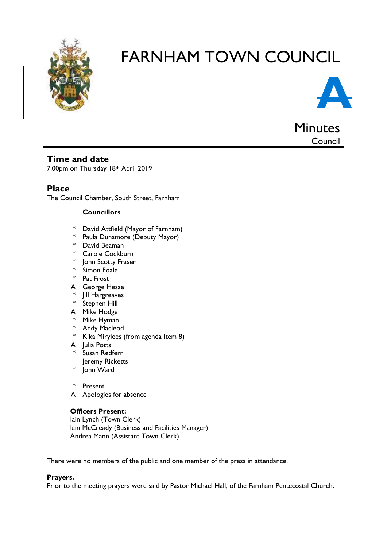

# FARNHAM TOWN COUNCIL



Council

## **Time and date**

7.00pm on Thursday 18th April 2019

# **Place**

The Council Chamber, South Street, Farnham

### **Councillors**

- \* David Attfield (Mayor of Farnham)
- \* Paula Dunsmore (Deputy Mayor)
- \* David Beaman
- \* Carole Cockburn
- \* John Scotty Fraser
- \* Simon Foale
- \* Pat Frost
- A George Hesse
- \* Jill Hargreaves
- Stephen Hill
- A Mike Hodge
- \* Mike Hyman
- \* Andy Macleod
- \* Kika Mirylees (from agenda Item 8)
- A Julia Potts
- \* Susan Redfern Jeremy Ricketts
- \* John Ward
- \* Present
- A Apologies for absence

## **Officers Present:**

Iain Lynch (Town Clerk) Iain McCready (Business and Facilities Manager) Andrea Mann (Assistant Town Clerk)

There were no members of the public and one member of the press in attendance.

#### **Prayers.**

Prior to the meeting prayers were said by Pastor Michael Hall, of the Farnham Pentecostal Church.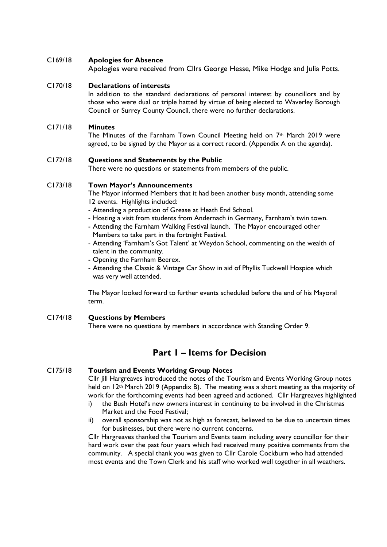#### C169/18 **Apologies for Absence**

Apologies were received from Cllrs George Hesse, Mike Hodge and Julia Potts.

#### C170/18 **Declarations of interests**

In addition to the standard declarations of personal interest by councillors and by those who were dual or triple hatted by virtue of being elected to Waverley Borough Council or Surrey County Council, there were no further declarations.

#### C171/18 **Minutes**

The Minutes of the Farnham Town Council Meeting held on 7th March 2019 were agreed, to be signed by the Mayor as a correct record. (Appendix A on the agenda).

#### C172/18 **Questions and Statements by the Public**

There were no questions or statements from members of the public.

#### C173/18 **Town Mayor's Announcements**

The Mayor informed Members that it had been another busy month, attending some 12 events. Highlights included:

- Attending a production of Grease at Heath End School.
- Hosting a visit from students from Andernach in Germany, Farnham's twin town.
- Attending the Farnham Walking Festival launch. The Mayor encouraged other Members to take part in the fortnight Festival.
- Attending 'Farnham's Got Talent' at Weydon School, commenting on the wealth of talent in the community.
- Opening the Farnham Beerex.
- Attending the Classic & Vintage Car Show in aid of Phyllis Tuckwell Hospice which was very well attended.

The Mayor looked forward to further events scheduled before the end of his Mayoral term.

#### C174/18 **Questions by Members** There were no questions by members in accordance with Standing Order 9.

## **Part 1 – Items for Decision**

#### C175/18 **Tourism and Events Working Group Notes**

Cllr Jill Hargreaves introduced the notes of the Tourism and Events Working Group notes held on 12<sup>th</sup> March 2019 (Appendix B). The meeting was a short meeting as the majority of work for the forthcoming events had been agreed and actioned. Cllr Hargreaves highlighted

- i) the Bush Hotel's new owners interest in continuing to be involved in the Christmas Market and the Food Festival;
- ii) overall sponsorship was not as high as forecast, believed to be due to uncertain times for businesses, but there were no current concerns.

Cllr Hargreaves thanked the Tourism and Events team including every councillor for their hard work over the past four years which had received many positive comments from the community. A special thank you was given to Cllr Carole Cockburn who had attended most events and the Town Clerk and his staff who worked well together in all weathers.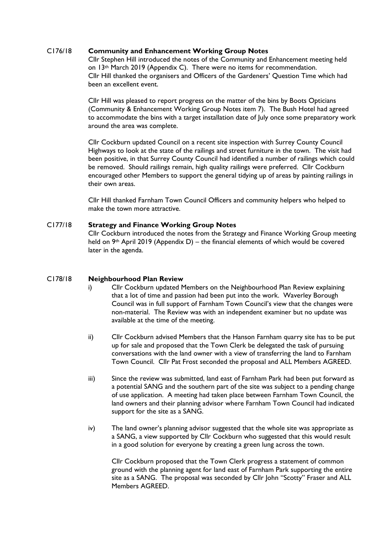#### C176/18 **Community and Enhancement Working Group Notes**

Cllr Stephen Hill introduced the notes of the Community and Enhancement meeting held on 13th March 2019 (Appendix C). There were no items for recommendation. Cllr Hill thanked the organisers and Officers of the Gardeners' Question Time which had been an excellent event.

Cllr Hill was pleased to report progress on the matter of the bins by Boots Opticians (Community & Enhancement Working Group Notes item 7). The Bush Hotel had agreed to accommodate the bins with a target installation date of July once some preparatory work around the area was complete.

Cllr Cockburn updated Council on a recent site inspection with Surrey County Council Highways to look at the state of the railings and street furniture in the town. The visit had been positive, in that Surrey County Council had identified a number of railings which could be removed. Should railings remain, high quality railings were preferred. Cllr Cockburn encouraged other Members to support the general tidying up of areas by painting railings in their own areas.

Cllr Hill thanked Farnham Town Council Officers and community helpers who helped to make the town more attractive.

#### C177/18 **Strategy and Finance Working Group Notes**

Cllr Cockburn introduced the notes from the Strategy and Finance Working Group meeting held on  $9<sup>th</sup>$  April 2019 (Appendix D) – the financial elements of which would be covered later in the agenda.

#### C178/18 **Neighbourhood Plan Review**

- i) Cllr Cockburn updated Members on the Neighbourhood Plan Review explaining that a lot of time and passion had been put into the work. Waverley Borough Council was in full support of Farnham Town Council's view that the changes were non-material. The Review was with an independent examiner but no update was available at the time of the meeting.
- ii) Cllr Cockburn advised Members that the Hanson Farnham quarry site has to be put up for sale and proposed that the Town Clerk be delegated the task of pursuing conversations with the land owner with a view of transferring the land to Farnham Town Council. Cllr Pat Frost seconded the proposal and ALL Members AGREED.
- iii) Since the review was submitted, land east of Farnham Park had been put forward as a potential SANG and the southern part of the site was subject to a pending change of use application. A meeting had taken place between Farnham Town Council, the land owners and their planning advisor where Farnham Town Council had indicated support for the site as a SANG.
- iv) The land owner's planning advisor suggested that the whole site was appropriate as a SANG, a view supported by Cllr Cockburn who suggested that this would result in a good solution for everyone by creating a green lung across the town.

Cllr Cockburn proposed that the Town Clerk progress a statement of common ground with the planning agent for land east of Farnham Park supporting the entire site as a SANG. The proposal was seconded by Cllr John "Scotty" Fraser and ALL Members AGREED.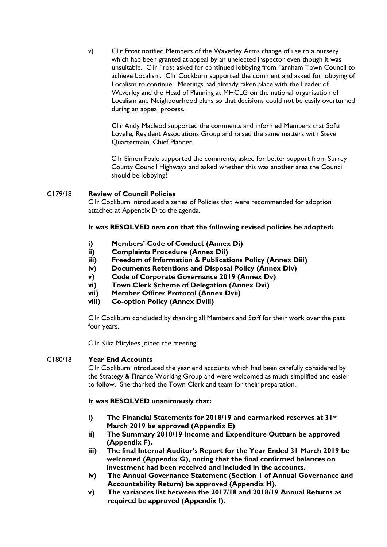v) Cllr Frost notified Members of the Waverley Arms change of use to a nursery which had been granted at appeal by an unelected inspector even though it was unsuitable. Cllr Frost asked for continued lobbying from Farnham Town Council to achieve Localism. Cllr Cockburn supported the comment and asked for lobbying of Localism to continue. Meetings had already taken place with the Leader of Waverley and the Head of Planning at MHCLG on the national organisation of Localism and Neighbourhood plans so that decisions could not be easily overturned during an appeal process.

Cllr Andy Macleod supported the comments and informed Members that Sofia Lovelle, Resident Associations Group and raised the same matters with Steve Quartermain, Chief Planner.

Cllr Simon Foale supported the comments, asked for better support from Surrey County Council Highways and asked whether this was another area the Council should be lobbying?

#### C179/18 **Review of Council Policies**

Cllr Cockburn introduced a series of Policies that were recommended for adoption attached at Appendix D to the agenda.

#### **It was RESOLVED** *nem con* **that the following revised policies be adopted:**

- **i) Members' Code of Conduct (Annex Di)**
- **ii) Complaints Procedure (Annex Dii)**
- **iii) Freedom of Information & Publications Policy (Annex Diii)**
- **iv) Documents Retentions and Disposal Policy (Annex Div)**
- **v) Code of Corporate Governance 2019 (Annex Dv)**
- **vi) Town Clerk Scheme of Delegation (Annex Dvi)**
- **vii) Member Officer Protocol (Annex Dvii)**
- **viii) Co-option Policy (Annex Dviii)**

Cllr Cockburn concluded by thanking all Members and Staff for their work over the past four years.

Cllr Kika Mirylees joined the meeting.

#### C180/18 **Year End Accounts**

Cllr Cockburn introduced the year end accounts which had been carefully considered by the Strategy & Finance Working Group and were welcomed as much simplified and easier to follow. She thanked the Town Clerk and team for their preparation.

#### **It was RESOLVED unanimously that:**

- **i) The Financial Statements for 2018/19 and earmarked reserves at 31st March 2019 be approved (Appendix E)**
- **ii) The Summary 2018/19 Income and Expenditure Outturn be approved (Appendix F).**
- **iii) The final Internal Auditor's Report for the Year Ended 31 March 2019 be welcomed (Appendix G), noting that the final confirmed balances on investment had been received and included in the accounts.**
- **iv) The Annual Governance Statement (Section 1 of Annual Governance and Accountability Return) be approved (Appendix H).**
- **v) The variances list between the 2017/18 and 2018/19 Annual Returns as required be approved (Appendix I).**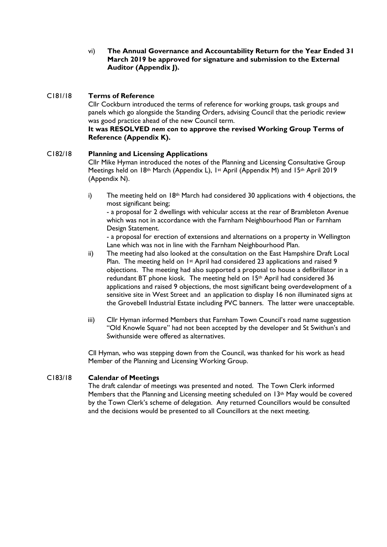vi) **The Annual Governance and Accountability Return for the Year Ended 31 March 2019 be approved for signature and submission to the External Auditor (Appendix J).**

#### C181/18 **Terms of Reference**

Cllr Cockburn introduced the terms of reference for working groups, task groups and panels which go alongside the Standing Orders, advising Council that the periodic review was good practice ahead of the new Council term.

#### **It was RESOLVED** *nem con* **to approve the revised Working Group Terms of Reference (Appendix K).**

#### C182/18 **Planning and Licensing Applications**

Cllr Mike Hyman introduced the notes of the Planning and Licensing Consultative Group Meetings held on 18th March (Appendix L), 1st April (Appendix M) and 15th April 2019 (Appendix N).

i) The meeting held on  $18<sup>th</sup>$  March had considered 30 applications with 4 objections, the most significant being;

- a proposal for 2 dwellings with vehicular access at the rear of Brambleton Avenue which was not in accordance with the Farnham Neighbourhood Plan or Farnham Design Statement.

- a proposal for erection of extensions and alternations on a property in Wellington Lane which was not in line with the Farnham Neighbourhood Plan.

- ii) The meeting had also looked at the consultation on the East Hampshire Draft Local Plan. The meeting held on 1st April had considered 23 applications and raised 9 objections. The meeting had also supported a proposal to house a defibrillator in a redundant BT phone kiosk. The meeting held on 15<sup>th</sup> April had considered 36 applications and raised 9 objections, the most significant being overdevelopment of a sensitive site in West Street and an application to display 16 non illuminated signs at the Grovebell Industrial Estate including PVC banners. The latter were unacceptable.
- iii) Cllr Hyman informed Members that Farnham Town Council's road name suggestion "Old Knowle Square" had not been accepted by the developer and St Swithun's and Swithunside were offered as alternatives.

Cll Hyman, who was stepping down from the Council, was thanked for his work as head Member of the Planning and Licensing Working Group.

#### C183/18 **Calendar of Meetings**

The draft calendar of meetings was presented and noted. The Town Clerk informed Members that the Planning and Licensing meeting scheduled on 13<sup>th</sup> May would be covered by the Town Clerk's scheme of delegation. Any returned Councillors would be consulted and the decisions would be presented to all Councillors at the next meeting.